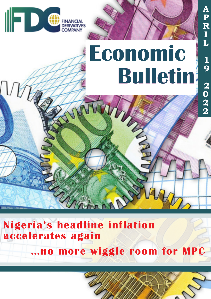

# **Bulletin Economic**

**A**

**P**

**R**

**I**

**L**

**1**

**9**

**2**

**0**

**2**

**2**

## **Nigeria's headline inflation accelerates again**

**Chann** 

**…no more wiggle room for MPC**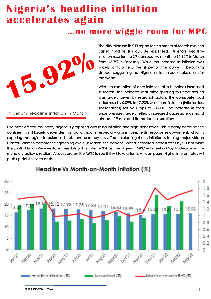## **Nigeria's headline inflation accelerates again**

### **…no more wiggle room for MPC**



Nigeria's headline inflation in March

The NBS released its CPI report for the month of March over the Easter holidays (Friday). As expected, Nigeria's headline inflation rose for the 2 $^{\mathsf{nd}}$  consecutive month to 15.92% in March from 15.7% in February. While the increase in inflation was widely anticipated, the slope of the curve is becoming steeper, suggesting that Nigerian inflation could take a turn for the worse.

With the exception of core inflation, all sub-indices increased in March. This indicates that price spiraling this time around was largely driven by seasonal factors. The composite food index rose by 0.09% to 17.20% while core inflation (inflation less seasonalities) fell by 10bps to 13.91%. The increase in food price pressures largely reflects increased aggregate demand ahead of Easter and Ramadan celebrations.

Like most African countries, Nigeria is grappling with rising inflation and high debt levels. This is partly because the continent is still largely dependent on agric imports (especially grains) despite its resource endownment, which is exposing the region to external shocks and currency crisis. The unrelenting rise in inflation is forcing major African Central Banks to commence tightening cycle. In March, the bank of Ghana increased interest rates by 250bps while the South African Reserve Bank raised its policy rate by 25bps. The Nigerian MPC will meet in May to decide on the monetary policy direction. All eyes are on the MPC to see if it will take after its African peers. Higher interest rates will push up debt service costs.



<sup>&</sup>lt;sup>1</sup>NBS, FDCThinkTank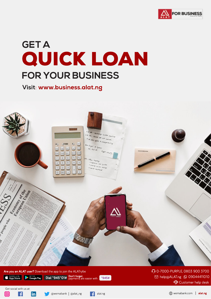

## **GET A** QUICK LOAN FOR YOUR BUSINESS

Visit: www.business.alat.ng



#### Are you an ALAT user? Download the app to join the ALATrybe

Available on the App Store

 $\bullet$  Get it on

Dial \*945\*01# Don't forget,

◯ 0-7000-PURPLE, 0803 900 3700 ⊠ help@ALAT.ng **Q 09044411010** Customer help desk

Get social with us at:





 $|{\sf in}|$ 





 $*945#$ 

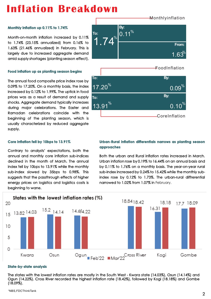## **Inflation Breakdown**

#### **Monthly inflation up 0.11% to 1.74%**

Month-on-month inflation increased by 0.11% to 1.74% (23.15% annualized) from 0.16% to 1.63% (21.46% annualized) in February. This is largely due to increased aggregate demand amid supply shortages (planting season effect).

#### **Food inflation up as planting season begins**

The annual food composite price index rose by 0.09% to 17.20%. On a monthly basis, the index increased by 0.12% to 1.99%. The uptick in food prices was as a result of demand and supply shocks. Aggregate demand typically increases during major celebrations. The Easter and Ramadan celebrations coincide with the beginning of the planting season, which is usually characterized by reduced aggregate supply.

#### **Core inflation fell by 10bps to 13.91%**

Contrary to analysts' expectations, both the annual and monthly core inflation sub-indices declined in the month of March. The annual index fell by 10bps to 13.91% while the monthly sub-index slowed by 35bps to 0.98%. This suggests that the passthrough effects of higher energy prices on logistics and logistics costs is beginning to wane.

% **Urban-Rural inflation differentials narrows as planting season** n-kolar miland<br>ro<mark>aches</mark> as narows as pr **approaches**

index rose by 0.12% to 1.73%. The urban-rural diffrerential Both the urban and Rural inflation rates increased in March. Urban inflation rose by 0.19% to 16.44% on an annual basis and by 0.11% to 1.76% on a monthly basis. The year-on-year rural sub-index increased by 0.24% to 15.42% while the monthly subnarrowed to 1.02% from 1.07% in February.



#### **State-by-state analysis**

The states with the lowest inflation rates are mostly in the South West - Kwara state (14.03%), Osun (14.14%) and Ogun (14.22%). Cross River recorded the highest inflation rate (18.42%), followed by Kogi (18.18%) and Gombe (18.09%).





### Monthlyinflation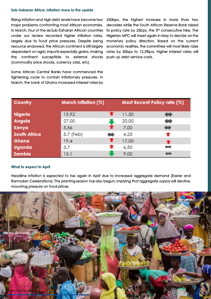#### **Sub-Saharan Africa: Inflation more to the upside**

Rising inflation and high debt levels have become two major problems confronting most African economies. In March, four of the six Sub-Saharan African countries under our review recorded higher inflation rates, largely due to food price pressures. Despite being resource endowed, the African continent is still largely dependent on agric imports especially grains, making the continent susceptible to external shocks push up debt service costs. (commodity price shocks, currency crisis, etc).

Some African Central Banks have commenced the tightening cycle to contain inflationary pressures. In March, the bank of Ghana increased interest rates by

250bps, the highest increase in more than two decades while the South African Reserve Bank raised its policy rate by 25bps, the 3rd consecutive hike. The Nigerian MPC will meet again in May to decide on the monetary policy direction. Based on the current economic realities, the committee will most likely raise rates by 50bps to 12.5%pa. Higher interest rates will

| Country             | March Inflation (%) | Most Recent Policy rate (%) |   |
|---------------------|---------------------|-----------------------------|---|
| Nigeria             | 15.92               | 11.50                       |   |
| Angola              | 27.00               | 20.00                       |   |
| Kenya               | 5.56                | 7.00                        | E |
| <b>South Africa</b> | 5.7 (Feb)           | 4.25                        |   |
| Ghana               | 19.4                | 17.00                       |   |
| Uganda              | 3.7                 | 6.50                        |   |
| Zambia              | 13.1                | 9.00                        |   |

#### **What to expect in April**

Headline inflation is expected to rise again in April due to increased aggregate demand (Easter and Ramadan Celebrations). The planting season has also begun, implying that aggregate supply will decline, mounting pressure on food prices.